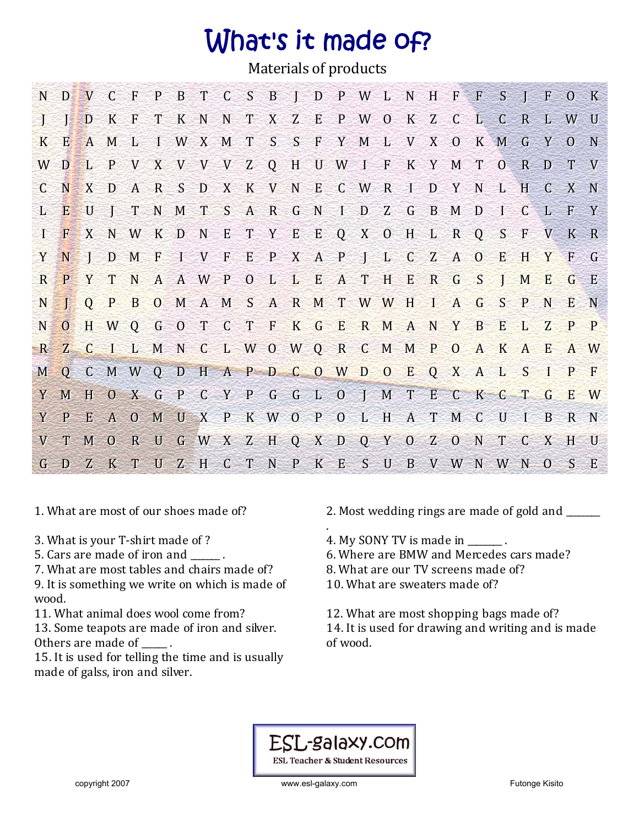## What's it made of?

Materials of products

|     |     |  |  |  |  | N D V C F P B T C S B I D P W L N H F F S I F O K |  |  |  |  |  |       |  |
|-----|-----|--|--|--|--|---------------------------------------------------|--|--|--|--|--|-------|--|
|     |     |  |  |  |  | D K F T K N N T X Z E P W O K Z C L C R L W U     |  |  |  |  |  |       |  |
|     |     |  |  |  |  | K E A M L I W X M T S S F Y M L V X O K M G Y O N |  |  |  |  |  |       |  |
| W D |     |  |  |  |  | L P V X V V V Z Q H U W I F K Y M T O R D T V     |  |  |  |  |  |       |  |
|     |     |  |  |  |  | C N X D A R S D X K V N E C W R I D Y N L H C X N |  |  |  |  |  |       |  |
|     |     |  |  |  |  | L E U J T N M T S A R G N I D Z G B M D I C L F Y |  |  |  |  |  |       |  |
|     |     |  |  |  |  | I F X N W K D N E T Y E E Q X O H L R Q S F V K R |  |  |  |  |  |       |  |
|     | YNI |  |  |  |  | D M F I V F E P X A P J L C Z A O E H Y F G       |  |  |  |  |  |       |  |
|     |     |  |  |  |  | R P Y T N A A W P O L L E A T H E R G S J M E     |  |  |  |  |  | $G$ E |  |
|     |     |  |  |  |  | N J Q P B O M A M S A R M T W W H I A G S P N E N |  |  |  |  |  |       |  |
|     |     |  |  |  |  | NOHWQGOTCTFKGERMANYBELZPP                         |  |  |  |  |  |       |  |
|     |     |  |  |  |  | R Z C I L M N C L W O W Q R C M M P O A K A E     |  |  |  |  |  | A W   |  |
|     |     |  |  |  |  | MOCMWODHAPDCOWDOEQXALSIPF                         |  |  |  |  |  |       |  |
| Y M |     |  |  |  |  | HOXGPCYPGGLOJMTECKCTG                             |  |  |  |  |  | E W   |  |
|     |     |  |  |  |  | Y P E A O M U X P K W O P O L H A T M C U I B R N |  |  |  |  |  |       |  |
|     |     |  |  |  |  | V T M O R U G W X Z H Q X D Q Y O Z O N T C X H U |  |  |  |  |  |       |  |
|     |     |  |  |  |  | G D Z K T U Z H C T N P K E S U B V W N W N O S E |  |  |  |  |  |       |  |

- 3. What is your T-shirt made of ? 4. My SONY TV is made in \_\_\_\_\_\_\_.
- 
- 7. What are most tables and chairs made of? 8. What are our TV screens made of?

9. It is something we write on which is made of wood.

13. Some teapots are made of iron and silver. Others are made of  $\qquad$ .

15. It is used for telling the time and is usually made of galss, iron and silver.

- 1. What are most of our shoes made of? 2. Most wedding rings are made of gold and \_\_\_\_\_\_
	-
- 5. Cars are made of iron and  $\qquad \qquad$ . 6. Where are BMW and Mercedes cars made?
	-
	- 10. What are sweaters made of?

11. What animal does wool come from? 12. What are most shopping bags made of? 14. It is used for drawing and writing and is made of wood.

## ESL-galaxy.com

**ESL Teacher & Student Resources** 

.